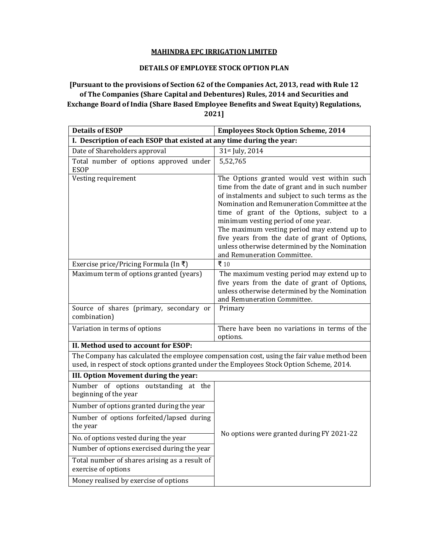## **MAHINDRA EPC IRRIGATION LIMITED**

## **DETAILS OF EMPLOYEE STOCK OPTION PLAN**

## **[Pursuant to the provisions of Section 62 of the Companies Act, 2013, read with Rule 12 of The Companies (Share Capital and Debentures) Rules, 2014 and Securities and Exchange Board of India (Share Based Employee Benefits and Sweat Equity) Regulations, 2021]**

| <b>Details of ESOP</b>                                                                                                                                                                  | <b>Employees Stock Option Scheme, 2014</b>                                                                                                                                                                                                                                                                                                                                                                                                                           |
|-----------------------------------------------------------------------------------------------------------------------------------------------------------------------------------------|----------------------------------------------------------------------------------------------------------------------------------------------------------------------------------------------------------------------------------------------------------------------------------------------------------------------------------------------------------------------------------------------------------------------------------------------------------------------|
| I. Description of each ESOP that existed at any time during the year:                                                                                                                   |                                                                                                                                                                                                                                                                                                                                                                                                                                                                      |
| Date of Shareholders approval                                                                                                                                                           | 31st July, 2014                                                                                                                                                                                                                                                                                                                                                                                                                                                      |
| Total number of options approved under<br><b>ESOP</b>                                                                                                                                   | 5,52,765                                                                                                                                                                                                                                                                                                                                                                                                                                                             |
| Vesting requirement                                                                                                                                                                     | The Options granted would vest within such<br>time from the date of grant and in such number<br>of instalments and subject to such terms as the<br>Nomination and Remuneration Committee at the<br>time of grant of the Options, subject to a<br>minimum vesting period of one year.<br>The maximum vesting period may extend up to<br>five years from the date of grant of Options,<br>unless otherwise determined by the Nomination<br>and Remuneration Committee. |
| Exercise price/Pricing Formula (In ₹)                                                                                                                                                   | ₹ 10                                                                                                                                                                                                                                                                                                                                                                                                                                                                 |
| Maximum term of options granted (years)                                                                                                                                                 | The maximum vesting period may extend up to<br>five years from the date of grant of Options,<br>unless otherwise determined by the Nomination<br>and Remuneration Committee.                                                                                                                                                                                                                                                                                         |
| Source of shares (primary, secondary or<br>combination)                                                                                                                                 | Primary                                                                                                                                                                                                                                                                                                                                                                                                                                                              |
| Variation in terms of options                                                                                                                                                           | There have been no variations in terms of the<br>options.                                                                                                                                                                                                                                                                                                                                                                                                            |
| II. Method used to account for ESOP:                                                                                                                                                    |                                                                                                                                                                                                                                                                                                                                                                                                                                                                      |
| The Company has calculated the employee compensation cost, using the fair value method been<br>used, in respect of stock options granted under the Employees Stock Option Scheme, 2014. |                                                                                                                                                                                                                                                                                                                                                                                                                                                                      |
| III. Option Movement during the year:                                                                                                                                                   |                                                                                                                                                                                                                                                                                                                                                                                                                                                                      |
| Number of options outstanding at the<br>beginning of the year<br>Number of options granted during the year                                                                              |                                                                                                                                                                                                                                                                                                                                                                                                                                                                      |
|                                                                                                                                                                                         |                                                                                                                                                                                                                                                                                                                                                                                                                                                                      |
| Number of options forfeited/lapsed during<br>the year                                                                                                                                   | No options were granted during FY 2021-22                                                                                                                                                                                                                                                                                                                                                                                                                            |
| No. of options vested during the year                                                                                                                                                   |                                                                                                                                                                                                                                                                                                                                                                                                                                                                      |
| Number of options exercised during the year                                                                                                                                             |                                                                                                                                                                                                                                                                                                                                                                                                                                                                      |
| Total number of shares arising as a result of<br>exercise of options                                                                                                                    |                                                                                                                                                                                                                                                                                                                                                                                                                                                                      |
| Money realised by exercise of options                                                                                                                                                   |                                                                                                                                                                                                                                                                                                                                                                                                                                                                      |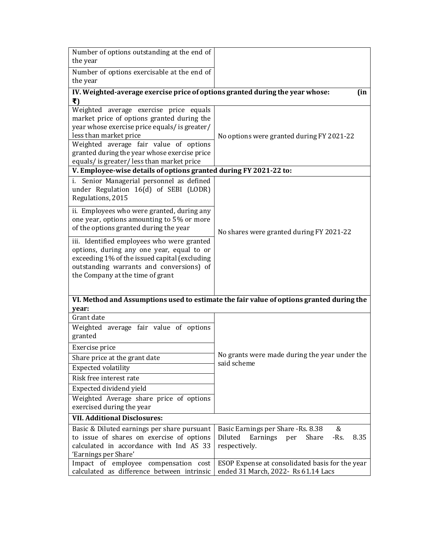| Number of options outstanding at the end of<br>the year                                                                                                                                                                  |                                                                                        |  |
|--------------------------------------------------------------------------------------------------------------------------------------------------------------------------------------------------------------------------|----------------------------------------------------------------------------------------|--|
| Number of options exercisable at the end of                                                                                                                                                                              |                                                                                        |  |
| the year                                                                                                                                                                                                                 |                                                                                        |  |
| IV. Weighted-average exercise price of options granted during the year whose:<br>(in                                                                                                                                     |                                                                                        |  |
| ₹)                                                                                                                                                                                                                       |                                                                                        |  |
| Weighted average exercise price equals                                                                                                                                                                                   |                                                                                        |  |
| market price of options granted during the<br>year whose exercise price equals/ is greater/                                                                                                                              |                                                                                        |  |
| less than market price                                                                                                                                                                                                   | No options were granted during FY 2021-22                                              |  |
| Weighted average fair value of options                                                                                                                                                                                   |                                                                                        |  |
| granted during the year whose exercise price                                                                                                                                                                             |                                                                                        |  |
| equals/ is greater/ less than market price                                                                                                                                                                               |                                                                                        |  |
| V. Employee-wise details of options granted during FY 2021-22 to:                                                                                                                                                        |                                                                                        |  |
| i. Senior Managerial personnel as defined<br>under Regulation 16(d) of SEBI (LODR)<br>Regulations, 2015                                                                                                                  | No shares were granted during FY 2021-22                                               |  |
| ii. Employees who were granted, during any<br>one year, options amounting to 5% or more<br>of the options granted during the year                                                                                        |                                                                                        |  |
| iii. Identified employees who were granted<br>options, during any one year, equal to or<br>exceeding 1% of the issued capital (excluding<br>outstanding warrants and conversions) of<br>the Company at the time of grant |                                                                                        |  |
| VI. Method and Assumptions used to estimate the fair value of options granted during the<br>year:                                                                                                                        |                                                                                        |  |
| Grant date                                                                                                                                                                                                               |                                                                                        |  |
| Weighted average fair value of options                                                                                                                                                                                   |                                                                                        |  |
| granted                                                                                                                                                                                                                  |                                                                                        |  |
| Exercise price                                                                                                                                                                                                           |                                                                                        |  |
| Share price at the grant date                                                                                                                                                                                            | No grants were made during the year under the                                          |  |
| <b>Expected volatility</b>                                                                                                                                                                                               | said scheme                                                                            |  |
| Risk free interest rate                                                                                                                                                                                                  |                                                                                        |  |
| Expected dividend yield                                                                                                                                                                                                  |                                                                                        |  |
| Weighted Average share price of options                                                                                                                                                                                  |                                                                                        |  |
| exercised during the year                                                                                                                                                                                                |                                                                                        |  |
| <b>VII. Additional Disclosures:</b>                                                                                                                                                                                      |                                                                                        |  |
| Basic & Diluted earnings per share pursuant                                                                                                                                                                              | Basic Earnings per Share -Rs. 8.38<br>&                                                |  |
| to issue of shares on exercise of options                                                                                                                                                                                | $-Rs.$<br>8.35<br>Diluted<br>Earnings<br>Share<br>per                                  |  |
| calculated in accordance with Ind AS 33                                                                                                                                                                                  | respectively.                                                                          |  |
| 'Earnings per Share'                                                                                                                                                                                                     |                                                                                        |  |
| Impact of employee compensation cost<br>calculated as difference between intrinsic                                                                                                                                       | ESOP Expense at consolidated basis for the year<br>ended 31 March, 2022- Rs 61.14 Lacs |  |